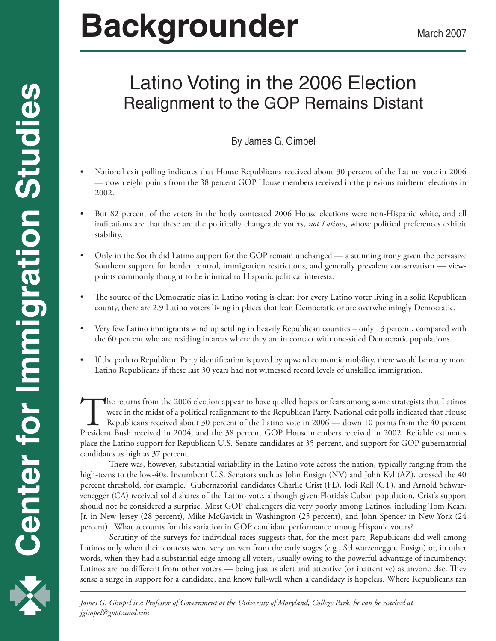# **Backgrounder** March 2007

# Latino Voting in the 2006 Election Realignment to the GOP Remains Distant

# By James G. Gimpel

- National exit polling indicates that House Republicans received about 30 percent of the Latino vote in 2006 — down eight points from the 38 percent GOP House members received in the previous midterm elections in 2002.
- But 82 percent of the voters in the hotly contested 2006 House elections were non-Hispanic white, and all indications are that these are the politically changeable voters, *not Latinos*, whose political preferences exhibit stability.
- Only in the South did Latino support for the GOP remain unchanged a stunning irony given the pervasive Southern support for border control, immigration restrictions, and generally prevalent conservatism — viewpoints commonly thought to be inimical to Hispanic political interests.
- The source of the Democratic bias in Latino voting is clear: For every Latino voter living in a solid Republican county, there are 2.9 Latino voters living in places that lean Democratic or are overwhelmingly Democratic.
- Very few Latino immigrants wind up settling in heavily Republican counties only 13 percent, compared with the 60 percent who are residing in areas where they are in contact with one-sided Democratic populations.
- If the path to Republican Party identification is paved by upward economic mobility, there would be many more Latino Republicans if these last 30 years had not witnessed record levels of unskilled immigration.

The returns from the 2006 election appear to have quelled hopes or fears among some strategists that Latinos<br>were in the midst of a political realignment to the Republican Party. National exit polls indicated that House<br>Re were in the midst of a political realignment to the Republican Party. National exit polls indicated that House Republicans received about 30 percent of the Latino vote in 2006 — down 10 points from the 40 percent President Bush received in 2004, and the 38 percent GOP House members received in 2002. Reliable estimates place the Latino support for Republican U.S. Senate candidates at 35 percent, and support for GOP gubernatorial candidates as high as 37 percent.

There was, however, substantial variability in the Latino vote across the nation, typically ranging from the high-teens to the low-40s. Incumbent U.S. Senators such as John Ensign (NV) and John Kyl (AZ), crossed the 40 percent threshold, for example. Gubernatorial candidates Charlie Crist (FL), Jodi Rell (CT), and Arnold Schwarzenegger (CA) received solid shares of the Latino vote, although given Florida's Cuban population, Crist's support should not be considered a surprise. Most GOP challengers did very poorly among Latinos, including Tom Kean, Jr. in New Jersey (28 percent), Mike McGavick in Washington (25 percent), and John Spencer in New York (24 percent). What accounts for this variation in GOP candidate performance among Hispanic voters?

Scrutiny of the surveys for individual races suggests that, for the most part, Republicans did well among Latinos only when their contests were very uneven from the early stages (e.g., Schwarzenegger, Ensign) or, in other words, when they had a substantial edge among all voters, usually owing to the powerful advantage of incumbency. Latinos are no different from other voters — being just as alert and attentive (or inattentive) as anyone else. They sense a surge in support for a candidate, and know full-well when a candidacy is hopeless. Where Republicans ran

 *James G. Gimpel is a Professor of Government at the University of Maryland, College Park. he can be reached at jgimpel@gvpt.umd.edu*

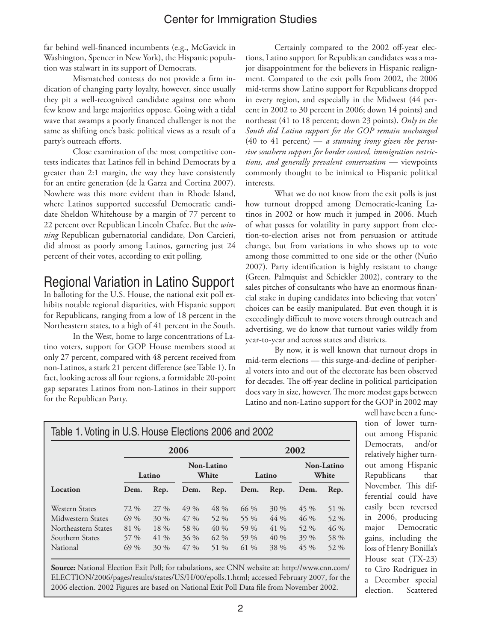far behind well-financed incumbents (e.g., McGavick in Washington, Spencer in New York), the Hispanic population was stalwart in its support of Democrats.

Mismatched contests do not provide a firm indication of changing party loyalty, however, since usually they pit a well-recognized candidate against one whom few know and large majorities oppose. Going with a tidal wave that swamps a poorly financed challenger is not the same as shifting one's basic political views as a result of a party's outreach efforts.

Close examination of the most competitive contests indicates that Latinos fell in behind Democrats by a greater than 2:1 margin, the way they have consistently for an entire generation (de la Garza and Cortina 2007). Nowhere was this more evident than in Rhode Island, where Latinos supported successful Democratic candidate Sheldon Whitehouse by a margin of 77 percent to 22 percent over Republican Lincoln Chafee. But the *winning* Republican gubernatorial candidate, Don Carcieri, did almost as poorly among Latinos, garnering just 24 percent of their votes, according to exit polling.

# Regional Variation in Latino Support

In balloting for the U.S. House, the national exit poll exhibits notable regional disparities, with Hispanic support for Republicans, ranging from a low of 18 percent in the Northeastern states, to a high of 41 percent in the South.

In the West, home to large concentrations of Latino voters, support for GOP House members stood at only 27 percent, compared with 48 percent received from non-Latinos, a stark 21 percent difference (see Table 1). In fact, looking across all four regions, a formidable 20-point gap separates Latinos from non-Latinos in their support for the Republican Party.

Certainly compared to the 2002 off-year elections, Latino support for Republican candidates was a major disappointment for the believers in Hispanic realignment. Compared to the exit polls from 2002, the 2006 mid-terms show Latino support for Republicans dropped in every region, and especially in the Midwest (44 percent in 2002 to 30 percent in 2006; down 14 points) and northeast (41 to 18 percent; down 23 points). *Only in the South did Latino support for the GOP remain unchanged* (40 to 41 percent) — *a stunning irony given the pervasive southern support for border control, immigration restrictions, and generally prevalent conservatism* — viewpoints commonly thought to be inimical to Hispanic political interests.

What we do not know from the exit polls is just how turnout dropped among Democratic-leaning Latinos in 2002 or how much it jumped in 2006. Much of what passes for volatility in party support from election-to-election arises not from persuasion or attitude change, but from variations in who shows up to vote among those committed to one side or the other (Nuño 2007). Party identification is highly resistant to change (Green, Palmquist and Schickler 2002), contrary to the sales pitches of consultants who have an enormous financial stake in duping candidates into believing that voters' choices can be easily manipulated. But even though it is exceedingly difficult to move voters through outreach and advertising, we do know that turnout varies wildly from year-to-year and across states and districts.

By now, it is well known that turnout drops in mid-term elections — this surge-and-decline of peripheral voters into and out of the electorate has been observed for decades. The off-year decline in political participation does vary in size, however. The more modest gaps between Latino and non-Latino support for the GOP in 2002 may

| Table 1. Voting in U.S. House Elections 2006 and 2002                                     |                                          |                                              |                                              |                                       |                                          |                                           |                                              |                                        |  |  |  |
|-------------------------------------------------------------------------------------------|------------------------------------------|----------------------------------------------|----------------------------------------------|---------------------------------------|------------------------------------------|-------------------------------------------|----------------------------------------------|----------------------------------------|--|--|--|
|                                                                                           |                                          |                                              | 2006                                         |                                       | 2002                                     |                                           |                                              |                                        |  |  |  |
|                                                                                           |                                          | Latino                                       | Non-Latino<br>White                          |                                       | Latino                                   |                                           | Non-Latino<br>White                          |                                        |  |  |  |
| Location                                                                                  | Dem.                                     | Rep.                                         | Dem.                                         | Rep.                                  | Dem.                                     | Rep.                                      | Dem.                                         | Rep.                                   |  |  |  |
| Western States<br>Midwestern States<br>Northeastern States<br>Southern States<br>National | 72 %<br>$69\%$<br>81 %<br>57 %<br>$69\%$ | $27\%$<br>$30\%$<br>$18\%$<br>$41\%$<br>30 % | $49\%$<br>$47\%$<br>58 %<br>$36\%$<br>$47\%$ | 48 %<br>52 %<br>40%<br>$62\%$<br>51 % | $66\%$<br>55 %<br>59 %<br>59 %<br>$61\%$ | $30\%$<br>$44\%$<br>$41\%$<br>40%<br>38 % | $45\%$<br>$46\%$<br>52 %<br>$39\%$<br>$45\%$ | 51 %<br>52 %<br>$46\%$<br>58 %<br>52 % |  |  |  |

**Source:** National Election Exit Poll; for tabulations, see CNN website at: http://www.cnn.com/ ELECTION/2006/pages/results/states/US/H/00/epolls.1.html; accessed February 2007, for the 2006 election. 2002 Figures are based on National Exit Poll Data file from November 2002.

well have been a function of lower turnout among Hispanic Democrats, and/or relatively higher turnout among Hispanic Republicans that November. This differential could have easily been reversed in 2006, producing major Democratic gains, including the loss of Henry Bonilla's House seat (TX-23) to Ciro Rodriguez in a December special election. Scattered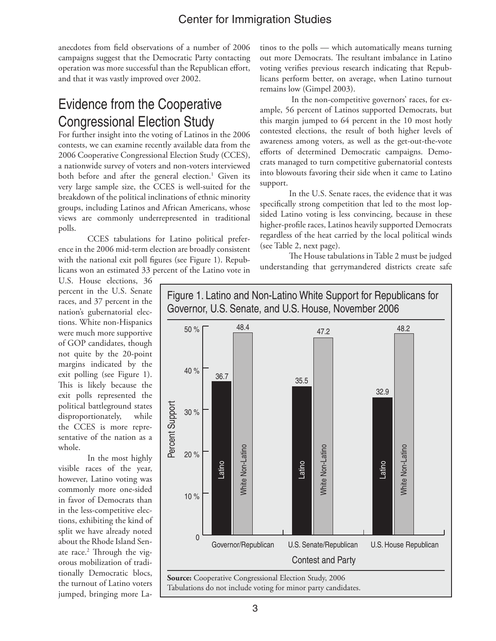anecdotes from field observations of a number of 2006 campaigns suggest that the Democratic Party contacting operation was more successful than the Republican effort, and that it was vastly improved over 2002.

# Evidence from the Cooperative Congressional Election Study

For further insight into the voting of Latinos in the 2006 contests, we can examine recently available data from the 2006 Cooperative Congressional Election Study (CCES), a nationwide survey of voters and non-voters interviewed both before and after the general election.<sup>1</sup> Given its very large sample size, the CCES is well-suited for the breakdown of the political inclinations of ethnic minority groups, including Latinos and African Americans, whose views are commonly underrepresented in traditional polls.

CCES tabulations for Latino political preference in the 2006 mid-term election are broadly consistent with the national exit poll figures (see Figure 1). Republicans won an estimated 33 percent of the Latino vote in

tinos to the polls — which automatically means turning out more Democrats. The resultant imbalance in Latino voting verifies previous research indicating that Republicans perform better, on average, when Latino turnout remains low (Gimpel 2003).

 In the non-competitive governors' races, for example, 56 percent of Latinos supported Democrats, but this margin jumped to 64 percent in the 10 most hotly contested elections, the result of both higher levels of awareness among voters, as well as the get-out-the-vote efforts of determined Democratic campaigns. Democrats managed to turn competitive gubernatorial contests into blowouts favoring their side when it came to Latino support.

In the U.S. Senate races, the evidence that it was specifically strong competition that led to the most lopsided Latino voting is less convincing, because in these higher-profile races, Latinos heavily supported Democrats regardless of the heat carried by the local political winds (see Table 2, next page).

The House tabulations in Table 2 must be judged understanding that gerrymandered districts create safe

U.S. House elections, 36 percent in the U.S. Senate races, and 37 percent in the nation's gubernatorial elections. White non-Hispanics were much more supportive of GOP candidates, though not quite by the 20-point margins indicated by the exit polling (see Figure 1). This is likely because the exit polls represented the political battleground states disproportionately, while the CCES is more representative of the nation as a whole.

In the most highly visible races of the year, however, Latino voting was commonly more one-sided in favor of Democrats than in the less-competitive elections, exhibiting the kind of split we have already noted about the Rhode Island Senate race.<sup>2</sup> Through the vigorous mobilization of traditionally Democratic blocs, the turnout of Latino voters jumped, bringing more La-



# Figure 1. Latino and Non-Latino White Support for Republicans for Governor, U.S. Senate, and U.S. House, November 2006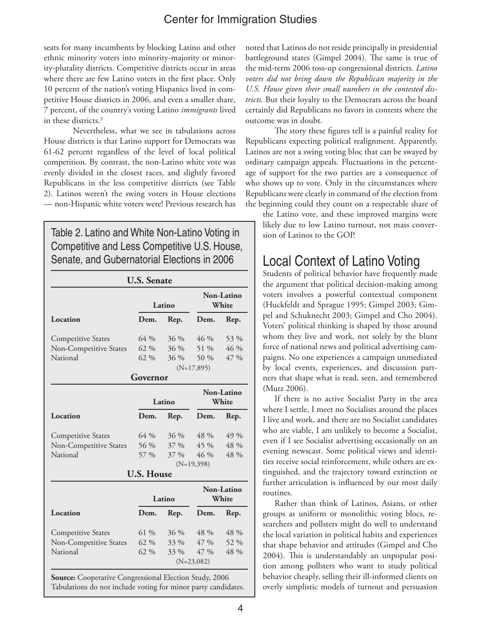seats for many incumbents by blocking Latino and other ethnic minority voters into minority-majority or minority-plurality districts. Competitive districts occur in areas where there are few Latino voters in the first place. Only 10 percent of the nation's voting Hispanics lived in competitive House districts in 2006, and even a smaller share, 7 percent, of the country's voting Latino *immigrants* lived in these districts.<sup>3</sup>

 Nevertheless, what we see in tabulations across House districts is that Latino support for Democrats was 61-62 percent regardless of the level of local political competition. By contrast, the non-Latino white vote was evenly divided in the closest races, and slightly favored Republicans in the less competitive districts (see Table 2). Latinos weren't the swing voters in House elections — non-Hispanic white voters were! Previous research has

Table 2. Latino and White Non-Latino Voting in Competitive and Less Competitive U.S. House, Senate, and Gubernatorial Elections in 2006

|                           |                   | Latino | Non-Latino<br>White |                   |  |
|---------------------------|-------------------|--------|---------------------|-------------------|--|
| Location                  | Dem.              | Rep.   | Dem.                | Rep.              |  |
| <b>Competitive States</b> | $64\%$            | 36 %   | $46\%$              | 53 %              |  |
| Non-Competitive States    | $62\%$            | 36 %   | 51 %                | 46 %              |  |
| National                  | 62 %              | $36\%$ | 50 %                | 47 %              |  |
|                           |                   |        | $(N=17,895)$        |                   |  |
|                           | Governor          |        |                     |                   |  |
|                           |                   |        |                     | Non-Latino        |  |
|                           |                   | Latino |                     | White             |  |
| Location                  | Dem.              | Rep.   | Dem.                | Rep.              |  |
| <b>Competitive States</b> | $64\%$            | 36 %   | 48 %                | 49 %              |  |
| Non-Competitive States    | 56 %              | 37 %   | 45 %                | 48 %              |  |
| National                  | 57 %              | 37 %   | 46%                 | 48 %              |  |
|                           |                   |        | $(N=19,398)$        |                   |  |
|                           | <b>U.S. House</b> |        |                     |                   |  |
|                           |                   |        |                     | <b>Non-Latino</b> |  |
|                           |                   | Latino |                     | White             |  |
| Location                  | Dem.              | Rep.   | Dem.                | Rep.              |  |
| <b>Competitive States</b> | $61\%$            | 36 %   | 48 %                | 48 %              |  |
| Non-Competitive States    | 62 %              | 33 %   | 47 %                | 52 %              |  |
| National                  | 62 %              | 33 %   | 47 %                | 48 %              |  |
|                           |                   |        | $(N=23,082)$        |                   |  |

Tabulations do not include voting for minor party candidates.

noted that Latinos do not reside principally in presidential battleground states (Gimpel 2004). The same is true of the mid-term 2006 toss-up congressional districts. *Latino voters did not bring down the Republican majority in the U.S. House given their small numbers in the contested districts*. But their loyalty to the Democrats across the board certainly did Republicans no favors in contests where the outcome was in doubt.

The story these figures tell is a painful reality for Republicans expecting political realignment. Apparently, Latinos are not a swing voting bloc that can be swayed by ordinary campaign appeals. Fluctuations in the percentage of support for the two parties are a consequence of who shows up to vote. Only in the circumstances where Republicans were clearly in command of the election from the beginning could they count on a respectable share of

the Latino vote, and these improved margins were likely due to low Latino turnout, not mass conversion of Latinos to the GOP.

# Local Context of Latino Voting

Students of political behavior have frequently made the argument that political decision-making among voters involves a powerful contextual component (Huckfeldt and Sprague 1995; Gimpel 2003; Gimpel and Schuknecht 2003; Gimpel and Cho 2004). Voters' political thinking is shaped by those around whom they live and work, not solely by the blunt force of national news and political advertising campaigns. No one experiences a campaign unmediated by local events, experiences, and discussion partners that shape what is read, seen, and remembered (Mutz 2006).

If there is no active Socialist Party in the area where I settle, I meet no Socialists around the places I live and work, and there are no Socialist candidates who are viable, I am unlikely to become a Socialist, even if I see Socialist advertising occasionally on an evening newscast. Some political views and identities receive social reinforcement, while others are extinguished, and the trajectory toward extinction or further articulation is influenced by our most daily routines.

Rather than think of Latinos, Asians, or other groups as uniform or monolithic voting blocs, researchers and pollsters might do well to understand the local variation in political habits and experiences that shape behavior and attitudes (Gimpel and Cho 2004). This is understandably an unpopular position among pollsters who want to study political behavior cheaply, selling their ill-informed clients on overly simplistic models of turnout and persuasion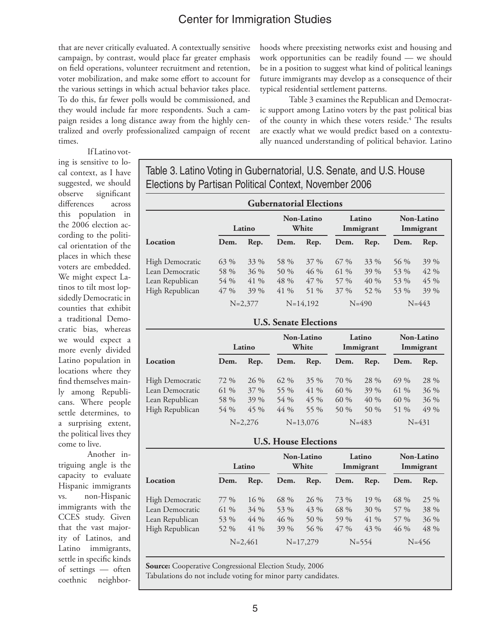that are never critically evaluated. A contextually sensitive campaign, by contrast, would place far greater emphasis on field operations, volunteer recruitment and retention, voter mobilization, and make some effort to account for the various settings in which actual behavior takes place. To do this, far fewer polls would be commissioned, and they would include far more respondents. Such a campaign resides a long distance away from the highly centralized and overly professionalized campaign of recent times.

hoods where preexisting networks exist and housing and work opportunities can be readily found — we should be in a position to suggest what kind of political leanings future immigrants may develop as a consequence of their typical residential settlement patterns.

Table 3 examines the Republican and Democratic support among Latino voters by the past political bias of the county in which these voters reside.<sup>4</sup> The results are exactly what we would predict based on a contextually nuanced understanding of political behavior. Latino

ing is sensitive to local context, as I have suggested, we should observe significant differences across this population in the 2006 election according to the political orientation of the places in which these voters are embedded. We might expect Latinos to tilt most lopsidedly Democratic in counties that exhibit a traditional Democratic bias, whereas we would expect a more evenly divided Latino population in locations where they find themselves mainly among Republicans. Where people settle determines, to

If Latino vot-

a surprising extent, the political lives they come to live. Another intriguing angle is the

capacity to evaluate Hispanic immigrants vs. non-Hispanic immigrants with the CCES study. Given that the vast majority of Latinos, and Latino immigrants, settle in specific kinds of settings — often coethnic neighborTable 3. Latino Voting in Gubernatorial, U.S. Senate, and U.S. House Elections by Partisan Political Context, November 2006

| <b>Gubernatorial Elections</b> |             |        |      |                            |        |                     |                                |           |  |  |
|--------------------------------|-------------|--------|------|----------------------------|--------|---------------------|--------------------------------|-----------|--|--|
|                                | Latino      |        |      | <b>Non-Latino</b><br>White |        | Latino<br>Immigrant | <b>Non-Latino</b><br>Immigrant |           |  |  |
| Location                       | Dem.        | Rep.   | Dem. | Rep.                       | Dem.   | Rep.                | Dem.                           | Rep.      |  |  |
| High Democratic                | 63 %        | 33 %   | 58 % | $37\%$                     | $67\%$ | 33 %                | 56 %                           | 39 %      |  |  |
| Lean Democratic                | 58 %        | $36\%$ | 50 % | $46\%$                     | 61 %   | 39 %                | 53 %                           | 42 %      |  |  |
| Lean Republican                | 54 %        | $41\%$ | 48 % | $47\%$                     | $57\%$ | 40%                 | 53 %                           | 45 %      |  |  |
| High Republican                | 47 %        | 39 %   | 41 % | 51 %                       | $37\%$ | 52 %                | 53 %                           | 39 %      |  |  |
|                                | $N = 2.377$ |        |      | $N=14,192$                 |        | $N = 490$           |                                | $N = 443$ |  |  |

#### **U.S. Senate Elections**

|                        |      | Latino    |        | <b>Non-Latino</b><br>White |         | Latino<br>Immigrant |        | <b>Non-Latino</b><br>Immigrant |
|------------------------|------|-----------|--------|----------------------------|---------|---------------------|--------|--------------------------------|
| Location               | Dem. | Rep.      | Dem.   | Rep.                       | Dem.    | Rep.                | Dem.   | Rep.                           |
| <b>High Democratic</b> | 72 % | 26 %      | 62 %   | 35 %                       | 70 %    | 28 %                | $69\%$ | 28 %                           |
| Lean Democratic        | 61 % | 37 %      | 55 %   | 41 %                       | 60 %    | 39 %                | 61 %   | 36 %                           |
| Lean Republican        | 58 % | $39\%$    | 54 %   | 45 %                       | 60 %    | 40 %                | $60\%$ | $36\%$                         |
| High Republican        | 54 % | 45 %      | $44\%$ | 55 %                       | 50 $\%$ | 50 %                | 51 %   | 49 %                           |
|                        |      | $N=2,276$ |        | $N=13,076$                 |         | $N = 483$           |        | $N = 431$                      |

#### **U.S. House Elections**

|                        | Latino |             |      | Non-Latino<br>White | Latino<br>Immigrant |           | Non-Latino<br>Immigrant |           |
|------------------------|--------|-------------|------|---------------------|---------------------|-----------|-------------------------|-----------|
| Location               | Dem.   | Rep.        | Dem. | Rep.                | Dem.                | Rep.      | Dem.                    | Rep.      |
| <b>High Democratic</b> | 77 %   | $16\%$      | 68 % | $26\%$              | 73 %                | $19\%$    | 68 %                    | 25 %      |
| Lean Democratic        | 61 %   | $34\%$      | 53 % | 43 %                | 68 %                | 30 %      | 57 %                    | 38 %      |
| Lean Republican        | 53 %   | 44 %        | 46 % | 50 %                | 59 %                | 41 %      | 57 %                    | $36\%$    |
| High Republican        | 52 %   | 41 %        | 39 % | 56 %                | $47\%$              | 43 %      | $46\%$                  | 48 %      |
|                        |        | $N = 2,461$ |      | $N=17,279$          |                     | $N = 554$ |                         | $N = 456$ |

**Source:** Cooperative Congressional Election Study, 2006 Tabulations do not include voting for minor party candidates.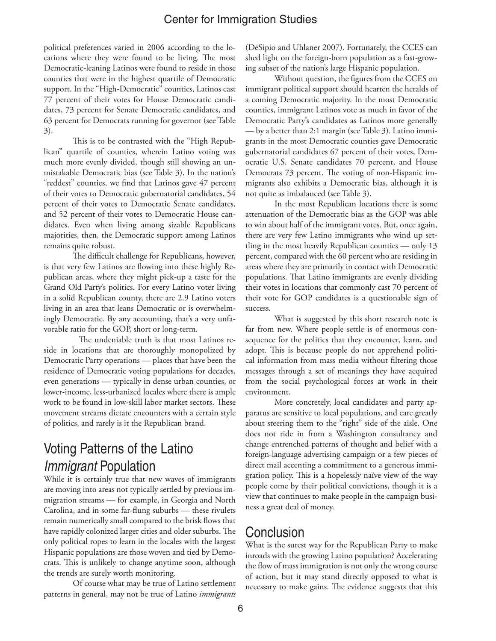political preferences varied in 2006 according to the locations where they were found to be living. The most Democratic-leaning Latinos were found to reside in those counties that were in the highest quartile of Democratic support. In the "High-Democratic" counties, Latinos cast 77 percent of their votes for House Democratic candidates, 73 percent for Senate Democratic candidates, and 63 percent for Democrats running for governor (see Table 3).

This is to be contrasted with the "High Republican" quartile of counties, wherein Latino voting was much more evenly divided, though still showing an unmistakable Democratic bias (see Table 3). In the nation's "reddest" counties, we find that Latinos gave 47 percent of their votes to Democratic gubernatorial candidates, 54 percent of their votes to Democratic Senate candidates, and 52 percent of their votes to Democratic House candidates. Even when living among sizable Republicans majorities, then, the Democratic support among Latinos remains quite robust.

The difficult challenge for Republicans, however, is that very few Latinos are flowing into these highly Republican areas, where they might pick-up a taste for the Grand Old Party's politics. For every Latino voter living in a solid Republican county, there are 2.9 Latino voters living in an area that leans Democratic or is overwhelmingly Democratic. By any accounting, that's a very unfavorable ratio for the GOP, short or long-term.

 The undeniable truth is that most Latinos reside in locations that are thoroughly monopolized by Democratic Party operations — places that have been the residence of Democratic voting populations for decades, even generations — typically in dense urban counties, or lower-income, less-urbanized locales where there is ample work to be found in low-skill labor market sectors. These movement streams dictate encounters with a certain style of politics, and rarely is it the Republican brand.

# Voting Patterns of the Latino *Immigrant* Population

While it is certainly true that new waves of immigrants are moving into areas not typically settled by previous immigration streams — for example, in Georgia and North Carolina, and in some far-flung suburbs — these rivulets remain numerically small compared to the brisk flows that have rapidly colonized larger cities and older suburbs. The only political ropes to learn in the locales with the largest Hispanic populations are those woven and tied by Democrats. This is unlikely to change anytime soon, although the trends are surely worth monitoring.

Of course what may be true of Latino settlement patterns in general, may not be true of Latino *immigrants*

(DeSipio and Uhlaner 2007). Fortunately, the CCES can shed light on the foreign-born population as a fast-growing subset of the nation's large Hispanic population.

Without question, the figures from the CCES on immigrant political support should hearten the heralds of a coming Democratic majority. In the most Democratic counties, immigrant Latinos vote as much in favor of the Democratic Party's candidates as Latinos more generally — by a better than 2:1 margin (see Table 3). Latino immigrants in the most Democratic counties gave Democratic gubernatorial candidates 67 percent of their votes, Democratic U.S. Senate candidates 70 percent, and House Democrats 73 percent. The voting of non-Hispanic immigrants also exhibits a Democratic bias, although it is not quite as imbalanced (see Table 3).

In the most Republican locations there is some attenuation of the Democratic bias as the GOP was able to win about half of the immigrant votes. But, once again, there are very few Latino immigrants who wind up settling in the most heavily Republican counties — only 13 percent, compared with the 60 percent who are residing in areas where they are primarily in contact with Democratic populations. That Latino immigrants are evenly dividing their votes in locations that commonly cast 70 percent of their vote for GOP candidates is a questionable sign of success.

What is suggested by this short research note is far from new. Where people settle is of enormous consequence for the politics that they encounter, learn, and adopt. This is because people do not apprehend political information from mass media without filtering those messages through a set of meanings they have acquired from the social psychological forces at work in their environment.

More concretely, local candidates and party apparatus are sensitive to local populations, and care greatly about steering them to the "right" side of the aisle. One does not ride in from a Washington consultancy and change entrenched patterns of thought and belief with a foreign-language advertising campaign or a few pieces of direct mail accenting a commitment to a generous immigration policy. This is a hopelessly naïve view of the way people come by their political convictions, though it is a view that continues to make people in the campaign business a great deal of money.

#### **Conclusion**

What is the surest way for the Republican Party to make inroads with the growing Latino population? Accelerating the flow of mass immigration is not only the wrong course of action, but it may stand directly opposed to what is necessary to make gains. The evidence suggests that this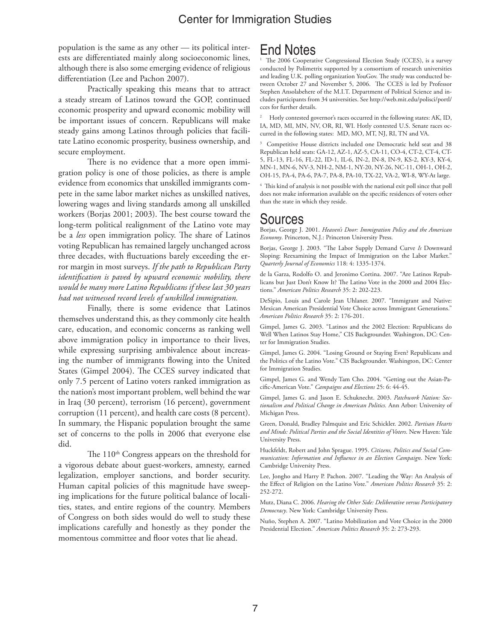population is the same as any other — its political interests are differentiated mainly along socioeconomic lines, although there is also some emerging evidence of religious differentiation (Lee and Pachon 2007).

Practically speaking this means that to attract a steady stream of Latinos toward the GOP, continued economic prosperity and upward economic mobility will be important issues of concern. Republicans will make steady gains among Latinos through policies that facilitate Latino economic prosperity, business ownership, and secure employment.

There is no evidence that a more open immigration policy is one of those policies, as there is ample evidence from economics that unskilled immigrants compete in the same labor market niches as unskilled natives, lowering wages and living standards among all unskilled workers (Borjas 2001; 2003). The best course toward the long-term political realignment of the Latino vote may be a *less* open immigration policy. The share of Latinos voting Republican has remained largely unchanged across three decades, with fluctuations barely exceeding the error margin in most surveys. *If the path to Republican Party identification is paved by upward economic mobility, there would be many more Latino Republicans if these last 30 years had not witnessed record levels of unskilled immigration.*

Finally, there is some evidence that Latinos themselves understand this, as they commonly cite health care, education, and economic concerns as ranking well above immigration policy in importance to their lives, while expressing surprising ambivalence about increasing the number of immigrants flowing into the United States (Gimpel 2004). The CCES survey indicated that only 7.5 percent of Latino voters ranked immigration as the nation's most important problem, well behind the war in Iraq (30 percent), terrorism (16 percent), government corruption (11 percent), and health care costs (8 percent). In summary, the Hispanic population brought the same set of concerns to the polls in 2006 that everyone else did.

The 110<sup>th</sup> Congress appears on the threshold for a vigorous debate about guest-workers, amnesty, earned legalization, employer sanctions, and border security. Human capital policies of this magnitude have sweeping implications for the future political balance of localities, states, and entire regions of the country. Members of Congress on both sides would do well to study these implications carefully and honestly as they ponder the momentous committee and floor votes that lie ahead.

### End Notes

1 The 2006 Cooperative Congressional Election Study (CCES), is a survey conducted by Polimetrix supported by a consortium of research universities and leading U.K. polling organization YouGov. The study was conducted between October 27 and November 5, 2006. The CCES is led by Professor Stephen Ansolabehere of the M.I.T. Department of Political Science and includes participants from 34 universities. See http://web.mit.edu/polisci/portl/ cces for further details.

2 Hotly contested governor's races occurred in the following states: AK, ID, IA, MD, MI, MN, NV, OR, RI, WI. Hotly contested U.S. Senate races occurred in the following states: MD, MO, MT, NJ, RI, TN and VA.

3 Competitive House districts included one Democratic held seat and 38 Republican held seats: GA-12, AZ-1, AZ-5, CA-11, CO-4, CT-2, CT-4, CT-5, FL-13, FL-16, FL-22, ID-1, IL-6, IN-2, IN-8, IN-9, KS-2, KY-3, KY-4, MN-1, MN-6, NV-3, NH-2, NM-1, NY-20, NY-26, NC-11, OH-1, OH-2, OH-15, PA-4, PA-6, PA-7, PA-8, PA-10, TX-22, VA-2, WI-8, WY-At large.

4 This kind of analysis is not possible with the national exit poll since that poll does not make information available on the specific residences of voters other than the state in which they reside.

## Sources

Borjas, George J. 2001. *Heaven's Door: Immigration Policy and the American Economy*. Princeton, N.J.: Princeton University Press.

Borjas, George J. 2003. "The Labor Supply Demand Curve *Is* Downward Sloping: Reexamining the Impact of Immigration on the Labor Market." *Quarterly Journal of Economics* 118: 4: 1335-1374.

de la Garza, Rodolfo O. and Jeronimo Cortina. 2007. "Are Latinos Republicans but Just Don't Know It? The Latino Vote in the 2000 and 2004 Elections." *American Politics Research* 35: 2: 202-223.

DeSipio, Louis and Carole Jean Uhlaner. 2007. "Immigrant and Native: Mexican American Presidential Vote Choice across Immigrant Generations." *American Politics Research* 35: 2: 176-201.

Gimpel, James G. 2003. "Latinos and the 2002 Election: Republicans do Well When Latinos Stay Home," CIS Backgrounder. Washington, DC: Center for Immigration Studies.

Gimpel, James G. 2004. "Losing Ground or Staying Even? Republicans and the Politics of the Latino Vote." CIS Backgrounder. Washington, DC: Center for Immigration Studies.

Gimpel, James G. and Wendy Tam Cho. 2004. "Getting out the Asian-Pacific-American Vote." *Campaigns and Elections* 25: 6: 44-45.

Gimpel, James G. and Jason E. Schuknecht. 2003. *Patchwork Nation: Sectionalism and Political Change in American Politics.* Ann Arbor: University of Michigan Press.

Green, Donald, Bradley Palmquist and Eric Schickler. 2002. *Partisan Hearts and Minds: Political Parties and the Social Identities of Voters*. New Haven: Yale University Press.

Huckfeldt, Robert and John Sprague. 1995. *Citizens, Politics and Social Communication: Information and Influence in an Election Campaign*. New York: Cambridge University Press.

Lee, Jongho and Harry P. Pachon. 2007. "Leading the Way: An Analysis of the Effect of Religion on the Latino Vote." *American Politics Research* 35: 2: 252-272.

Mutz, Diana C. 2006. *Hearing the Other Side: Deliberative versus Participatory Democracy*. New York: Cambridge University Press.

Nuño, Stephen A. 2007. "Latino Mobilization and Vote Choice in the 2000 Presidential Election." *American Politics Research* 35: 2: 273-293.